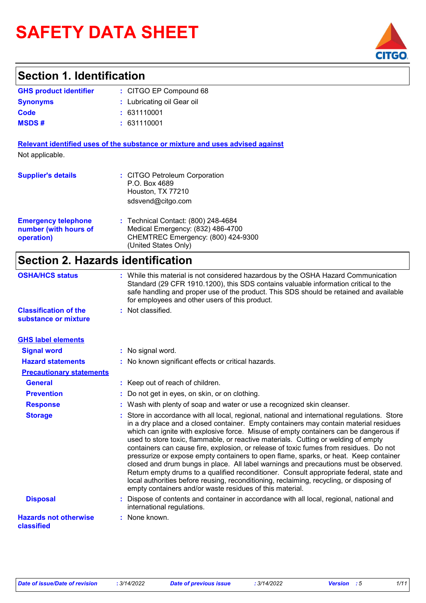# **SAFETY DATA SHEET**

### **Section 1. Identification**

| <b>GHS product identifier</b> | : CITGO EP Compound 68     |
|-------------------------------|----------------------------|
| <b>Synonyms</b>               | : Lubricating oil Gear oil |
| Code                          | : 631110001                |
| <b>MSDS#</b>                  | : 631110001                |

**Relevant identified uses of the substance or mixture and uses advised against** Not applicable.

| <b>Supplier's details</b>                                         | : CITGO Petroleum Corporation<br>P.O. Box 4689<br>Houston, TX 77210<br>sdsvend@citgo.com                                               |
|-------------------------------------------------------------------|----------------------------------------------------------------------------------------------------------------------------------------|
| <b>Emergency telephone</b><br>number (with hours of<br>operation) | : Technical Contact: (800) 248-4684<br>Medical Emergency: (832) 486-4700<br>CHEMTREC Emergency: (800) 424-9300<br>(United States Only) |

### **Section 2. Hazards identification**

| <b>OSHA/HCS status</b>                               | : While this material is not considered hazardous by the OSHA Hazard Communication<br>Standard (29 CFR 1910.1200), this SDS contains valuable information critical to the<br>safe handling and proper use of the product. This SDS should be retained and available<br>for employees and other users of this product.                                                                                                                                                                                                                                                                                                                                                                                                                                                                                                                                                                             |
|------------------------------------------------------|---------------------------------------------------------------------------------------------------------------------------------------------------------------------------------------------------------------------------------------------------------------------------------------------------------------------------------------------------------------------------------------------------------------------------------------------------------------------------------------------------------------------------------------------------------------------------------------------------------------------------------------------------------------------------------------------------------------------------------------------------------------------------------------------------------------------------------------------------------------------------------------------------|
| <b>Classification of the</b><br>substance or mixture | : Not classified.                                                                                                                                                                                                                                                                                                                                                                                                                                                                                                                                                                                                                                                                                                                                                                                                                                                                                 |
| <b>GHS label elements</b>                            |                                                                                                                                                                                                                                                                                                                                                                                                                                                                                                                                                                                                                                                                                                                                                                                                                                                                                                   |
| <b>Signal word</b>                                   | : No signal word.                                                                                                                                                                                                                                                                                                                                                                                                                                                                                                                                                                                                                                                                                                                                                                                                                                                                                 |
| <b>Hazard statements</b>                             | : No known significant effects or critical hazards.                                                                                                                                                                                                                                                                                                                                                                                                                                                                                                                                                                                                                                                                                                                                                                                                                                               |
| <b>Precautionary statements</b>                      |                                                                                                                                                                                                                                                                                                                                                                                                                                                                                                                                                                                                                                                                                                                                                                                                                                                                                                   |
| <b>General</b>                                       | : Keep out of reach of children.                                                                                                                                                                                                                                                                                                                                                                                                                                                                                                                                                                                                                                                                                                                                                                                                                                                                  |
| <b>Prevention</b>                                    | : Do not get in eyes, on skin, or on clothing.                                                                                                                                                                                                                                                                                                                                                                                                                                                                                                                                                                                                                                                                                                                                                                                                                                                    |
| <b>Response</b>                                      | : Wash with plenty of soap and water or use a recognized skin cleanser.                                                                                                                                                                                                                                                                                                                                                                                                                                                                                                                                                                                                                                                                                                                                                                                                                           |
| <b>Storage</b>                                       | : Store in accordance with all local, regional, national and international regulations. Store<br>in a dry place and a closed container. Empty containers may contain material residues<br>which can ignite with explosive force. Misuse of empty containers can be dangerous if<br>used to store toxic, flammable, or reactive materials. Cutting or welding of empty<br>containers can cause fire, explosion, or release of toxic fumes from residues. Do not<br>pressurize or expose empty containers to open flame, sparks, or heat. Keep container<br>closed and drum bungs in place. All label warnings and precautions must be observed.<br>Return empty drums to a qualified reconditioner. Consult appropriate federal, state and<br>local authorities before reusing, reconditioning, reclaiming, recycling, or disposing of<br>empty containers and/or waste residues of this material. |
| <b>Disposal</b>                                      | : Dispose of contents and container in accordance with all local, regional, national and<br>international regulations.                                                                                                                                                                                                                                                                                                                                                                                                                                                                                                                                                                                                                                                                                                                                                                            |
| <b>Hazards not otherwise</b><br>classified           | : None known.                                                                                                                                                                                                                                                                                                                                                                                                                                                                                                                                                                                                                                                                                                                                                                                                                                                                                     |

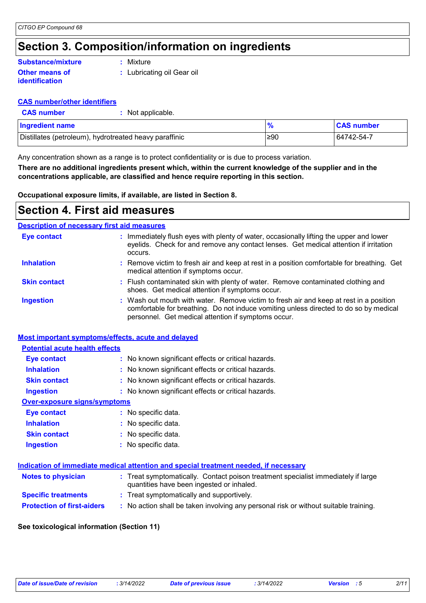### **Section 3. Composition/information on ingredients**

#### **Other means of identification Substance/mixture**

**:** Mixture

**:** Lubricating oil Gear oil

#### **CAS number/other identifiers**

| <b>CAS number</b> | Not applicable. |
|-------------------|-----------------|
|                   |                 |

| <b>Ingredient name</b>                                 |     | <b>CAS</b> number |
|--------------------------------------------------------|-----|-------------------|
| Distillates (petroleum), hydrotreated heavy paraffinic | ≥90 | 64742-54-7        |

Any concentration shown as a range is to protect confidentiality or is due to process variation.

**There are no additional ingredients present which, within the current knowledge of the supplier and in the concentrations applicable, are classified and hence require reporting in this section.**

**Occupational exposure limits, if available, are listed in Section 8.**

### **Section 4. First aid measures**

#### **Description of necessary first aid measures**

| <b>Eye contact</b>  | : Immediately flush eyes with plenty of water, occasionally lifting the upper and lower<br>eyelids. Check for and remove any contact lenses. Get medical attention if irritation<br>occurs.                                            |
|---------------------|----------------------------------------------------------------------------------------------------------------------------------------------------------------------------------------------------------------------------------------|
| <b>Inhalation</b>   | : Remove victim to fresh air and keep at rest in a position comfortable for breathing. Get<br>medical attention if symptoms occur.                                                                                                     |
| <b>Skin contact</b> | : Flush contaminated skin with plenty of water. Remove contaminated clothing and<br>shoes. Get medical attention if symptoms occur.                                                                                                    |
| <b>Ingestion</b>    | : Wash out mouth with water. Remove victim to fresh air and keep at rest in a position<br>comfortable for breathing. Do not induce vomiting unless directed to do so by medical<br>personnel. Get medical attention if symptoms occur. |

#### **Most important symptoms/effects, acute and delayed**

| <b>Potential acute health effects</b> |                                                     |  |  |  |
|---------------------------------------|-----------------------------------------------------|--|--|--|
| <b>Eye contact</b>                    | : No known significant effects or critical hazards. |  |  |  |
| <b>Inhalation</b>                     | : No known significant effects or critical hazards. |  |  |  |
| <b>Skin contact</b>                   | : No known significant effects or critical hazards. |  |  |  |
| <b>Ingestion</b>                      | : No known significant effects or critical hazards. |  |  |  |
| Over-exposure signs/symptoms          |                                                     |  |  |  |
| <b>Eye contact</b>                    | : No specific data.                                 |  |  |  |
| <b>Inhalation</b>                     | : No specific data.                                 |  |  |  |
| <b>Skin contact</b>                   | : No specific data.                                 |  |  |  |
| <b>Ingestion</b>                      | $:$ No specific data.                               |  |  |  |

#### **Indication of immediate medical attention and special treatment needed, if necessary**

| <b>Notes to physician</b>         | : Treat symptomatically. Contact poison treatment specialist immediately if large<br>quantities have been ingested or inhaled. |
|-----------------------------------|--------------------------------------------------------------------------------------------------------------------------------|
| <b>Specific treatments</b>        | : Treat symptomatically and supportively.                                                                                      |
| <b>Protection of first-aiders</b> | No action shall be taken involving any personal risk or without suitable training.                                             |

#### **See toxicological information (Section 11)**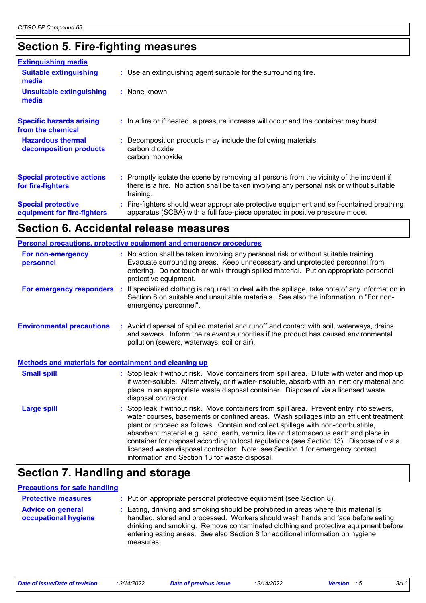### **Section 5. Fire-fighting measures**

| <b>Extinguishing media</b>                               |                                                                                                                                                                                                     |
|----------------------------------------------------------|-----------------------------------------------------------------------------------------------------------------------------------------------------------------------------------------------------|
| <b>Suitable extinguishing</b><br>media                   | : Use an extinguishing agent suitable for the surrounding fire.                                                                                                                                     |
| <b>Unsuitable extinguishing</b><br>media                 | : None known.                                                                                                                                                                                       |
| <b>Specific hazards arising</b><br>from the chemical     | : In a fire or if heated, a pressure increase will occur and the container may burst.                                                                                                               |
| <b>Hazardous thermal</b><br>decomposition products       | : Decomposition products may include the following materials:<br>carbon dioxide<br>carbon monoxide                                                                                                  |
| <b>Special protective actions</b><br>for fire-fighters   | : Promptly isolate the scene by removing all persons from the vicinity of the incident if<br>there is a fire. No action shall be taken involving any personal risk or without suitable<br>training. |
| <b>Special protective</b><br>equipment for fire-fighters | Fire-fighters should wear appropriate protective equipment and self-contained breathing<br>apparatus (SCBA) with a full face-piece operated in positive pressure mode.                              |

### **Section 6. Accidental release measures**

|                                                              | <b>Personal precautions, protective equipment and emergency procedures</b>                                                                                                                                                                                                                                                                                                                                                                                                                                                                                                                 |  |
|--------------------------------------------------------------|--------------------------------------------------------------------------------------------------------------------------------------------------------------------------------------------------------------------------------------------------------------------------------------------------------------------------------------------------------------------------------------------------------------------------------------------------------------------------------------------------------------------------------------------------------------------------------------------|--|
| For non-emergency<br>personnel                               | : No action shall be taken involving any personal risk or without suitable training.<br>Evacuate surrounding areas. Keep unnecessary and unprotected personnel from<br>entering. Do not touch or walk through spilled material. Put on appropriate personal<br>protective equipment.                                                                                                                                                                                                                                                                                                       |  |
| <b>For emergency responders :</b>                            | If specialized clothing is required to deal with the spillage, take note of any information in<br>Section 8 on suitable and unsuitable materials. See also the information in "For non-<br>emergency personnel".                                                                                                                                                                                                                                                                                                                                                                           |  |
| <b>Environmental precautions</b>                             | : Avoid dispersal of spilled material and runoff and contact with soil, waterways, drains<br>and sewers. Inform the relevant authorities if the product has caused environmental<br>pollution (sewers, waterways, soil or air).                                                                                                                                                                                                                                                                                                                                                            |  |
| <b>Methods and materials for containment and cleaning up</b> |                                                                                                                                                                                                                                                                                                                                                                                                                                                                                                                                                                                            |  |
| <b>Small spill</b>                                           | : Stop leak if without risk. Move containers from spill area. Dilute with water and mop up<br>if water-soluble. Alternatively, or if water-insoluble, absorb with an inert dry material and<br>place in an appropriate waste disposal container. Dispose of via a licensed waste<br>disposal contractor.                                                                                                                                                                                                                                                                                   |  |
| <b>Large spill</b>                                           | : Stop leak if without risk. Move containers from spill area. Prevent entry into sewers,<br>water courses, basements or confined areas. Wash spillages into an effluent treatment<br>plant or proceed as follows. Contain and collect spillage with non-combustible,<br>absorbent material e.g. sand, earth, vermiculite or diatomaceous earth and place in<br>container for disposal according to local regulations (see Section 13). Dispose of via a<br>licensed waste disposal contractor. Note: see Section 1 for emergency contact<br>information and Section 13 for waste disposal. |  |

## **Section 7. Handling and storage**

#### **Precautions for safe handling**

| <b>Protective measures</b>                       | : Put on appropriate personal protective equipment (see Section 8).                                                                                                                                                                                                                                                                                           |
|--------------------------------------------------|---------------------------------------------------------------------------------------------------------------------------------------------------------------------------------------------------------------------------------------------------------------------------------------------------------------------------------------------------------------|
| <b>Advice on general</b><br>occupational hygiene | : Eating, drinking and smoking should be prohibited in areas where this material is<br>handled, stored and processed. Workers should wash hands and face before eating,<br>drinking and smoking. Remove contaminated clothing and protective equipment before<br>entering eating areas. See also Section 8 for additional information on hygiene<br>measures. |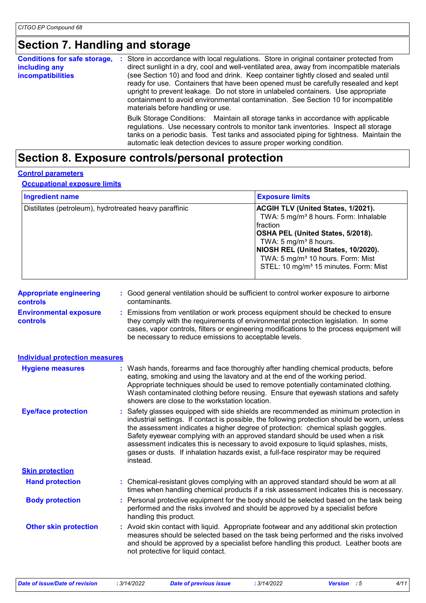### **Section 7. Handling and storage**

| <b>Conditions for safe storage,</b><br>including any<br><b>incompatibilities</b> | Store in accordance with local regulations. Store in original container protected from<br>direct sunlight in a dry, cool and well-ventilated area, away from incompatible materials<br>(see Section 10) and food and drink. Keep container tightly closed and sealed until<br>ready for use. Containers that have been opened must be carefully resealed and kept<br>upright to prevent leakage. Do not store in unlabeled containers. Use appropriate<br>containment to avoid environmental contamination. See Section 10 for incompatible<br>materials before handling or use. |  |
|----------------------------------------------------------------------------------|----------------------------------------------------------------------------------------------------------------------------------------------------------------------------------------------------------------------------------------------------------------------------------------------------------------------------------------------------------------------------------------------------------------------------------------------------------------------------------------------------------------------------------------------------------------------------------|--|
|                                                                                  | Bulk Storage Conditions: Maintain all storage tanks in accordance with applicable<br>regulations. Use necessary controls to monitor tank inventories. Inspect all storage<br>tanks on a periodic basis. Test tanks and associated piping for tightness. Maintain the<br>automatic leak detection devices to assure proper working condition.                                                                                                                                                                                                                                     |  |

### **Section 8. Exposure controls/personal protection**

#### **Control parameters**

#### **Occupational exposure limits**

| <b>Ingredient name</b>                                 | <b>Exposure limits</b>                                                                                                                                                                                                                                                                                                             |
|--------------------------------------------------------|------------------------------------------------------------------------------------------------------------------------------------------------------------------------------------------------------------------------------------------------------------------------------------------------------------------------------------|
| Distillates (petroleum), hydrotreated heavy paraffinic | <b>ACGIH TLV (United States, 1/2021).</b><br>TWA: 5 mg/m <sup>3</sup> 8 hours. Form: Inhalable<br>Ifraction<br>OSHA PEL (United States, 5/2018).<br>TWA: 5 mg/m <sup>3</sup> 8 hours.<br>NIOSH REL (United States, 10/2020).<br>TWA: 5 mg/m <sup>3</sup> 10 hours. Form: Mist<br>STEL: 10 mg/m <sup>3</sup> 15 minutes. Form: Mist |

| <b>Appropriate engineering</b> | : Good general ventilation should be sufficient to control worker exposure to airborne |
|--------------------------------|----------------------------------------------------------------------------------------|
| <b>controls</b>                | contaminants.                                                                          |

**Environmental exposure controls :** Emissions from ventilation or work process equipment should be checked to ensure they comply with the requirements of environmental protection legislation. In some cases, vapor controls, filters or engineering modifications to the process equipment will be necessary to reduce emissions to acceptable levels.

#### **Hand protection : Chemical-resistant gloves complying with an approved standard should be worn at all <b>Hand** times when handling chemical products if a risk assessment indicates this is necessary. Safety glasses equipped with side shields are recommended as minimum protection in **:** industrial settings. If contact is possible, the following protection should be worn, unless the assessment indicates a higher degree of protection: chemical splash goggles. Safety eyewear complying with an approved standard should be used when a risk assessment indicates this is necessary to avoid exposure to liquid splashes, mists, gases or dusts. If inhalation hazards exist, a full-face respirator may be required instead. **Eye/face protection Body protection** : Personal protective equipment for the body should be selected based on the task being **Body** performed and the risks involved and should be approved by a specialist before handling this product. Wash hands, forearms and face thoroughly after handling chemical products, before eating, smoking and using the lavatory and at the end of the working period. Appropriate techniques should be used to remove potentially contaminated clothing. Wash contaminated clothing before reusing. Ensure that eyewash stations and safety showers are close to the workstation location. **Hygiene measures : Individual protection measures Skin protection Other skin protection :** Avoid skin contact with liquid. Appropriate footwear and any additional skin protection measures should be selected based on the task being performed and the risks involved and should be approved by a specialist before handling this product. Leather boots are not protective for liquid contact.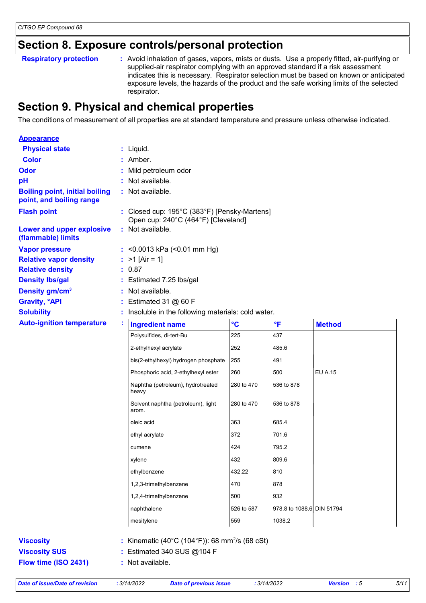### **Section 8. Exposure controls/personal protection**

Avoid inhalation of gases, vapors, mists or dusts. Use a properly fitted, air-purifying or supplied-air respirator complying with an approved standard if a risk assessment indicates this is necessary. Respirator selection must be based on known or anticipated exposure levels, the hazards of the product and the safe working limits of the selected respirator. **Respiratory protection :**

### **Section 9. Physical and chemical properties**

The conditions of measurement of all properties are at standard temperature and pressure unless otherwise indicated.

| <b>Appearance</b>                                                 |   |                                                                                     |                 |                           |                |  |
|-------------------------------------------------------------------|---|-------------------------------------------------------------------------------------|-----------------|---------------------------|----------------|--|
| <b>Physical state</b>                                             |   | $:$ Liquid.                                                                         |                 |                           |                |  |
| <b>Color</b>                                                      |   | : Amber.                                                                            |                 |                           |                |  |
| <b>Odor</b>                                                       |   | Mild petroleum odor                                                                 |                 |                           |                |  |
| pH                                                                |   | : Not available.                                                                    |                 |                           |                |  |
| <b>Boiling point, initial boiling</b><br>point, and boiling range |   | : Not available.                                                                    |                 |                           |                |  |
| <b>Flash point</b>                                                |   | : Closed cup: 195°C (383°F) [Pensky-Martens]<br>Open cup: 240°C (464°F) [Cleveland] |                 |                           |                |  |
| Lower and upper explosive<br>(flammable) limits                   |   | : Not available.                                                                    |                 |                           |                |  |
| <b>Vapor pressure</b>                                             |   | : < $0.0013$ kPa (< $0.01$ mm Hg)                                                   |                 |                           |                |  |
| <b>Relative vapor density</b>                                     |   | : $>1$ [Air = 1]                                                                    |                 |                           |                |  |
| <b>Relative density</b>                                           |   | 0.87                                                                                |                 |                           |                |  |
| <b>Density Ibs/gal</b>                                            |   | : Estimated 7.25 lbs/gal                                                            |                 |                           |                |  |
| Density gm/cm <sup>3</sup>                                        |   | Not available.                                                                      |                 |                           |                |  |
| <b>Gravity, °API</b>                                              |   | Estimated 31 $@$ 60 F                                                               |                 |                           |                |  |
| <b>Solubility</b>                                                 |   | Insoluble in the following materials: cold water.                                   |                 |                           |                |  |
| <b>Auto-ignition temperature</b>                                  | ÷ | <b>Ingredient name</b>                                                              | $\rm ^{\circ}C$ | $\mathsf{P}$              | <b>Method</b>  |  |
|                                                                   |   | Polysulfides, di-tert-Bu                                                            | 225             | 437                       |                |  |
|                                                                   |   | 2-ethylhexyl acrylate                                                               | 252             | 485.6                     |                |  |
|                                                                   |   | bis(2-ethylhexyl) hydrogen phosphate                                                | 255             | 491                       |                |  |
|                                                                   |   | Phosphoric acid, 2-ethylhexyl ester                                                 | 260             | 500                       | <b>EU A.15</b> |  |
|                                                                   |   | Naphtha (petroleum), hydrotreated<br>heavy                                          | 280 to 470      | 536 to 878                |                |  |
|                                                                   |   | Solvent naphtha (petroleum), light<br>arom.                                         | 280 to 470      | 536 to 878                |                |  |
|                                                                   |   | oleic acid                                                                          | 363             | 685.4                     |                |  |
|                                                                   |   | ethyl acrylate                                                                      | 372             | 701.6                     |                |  |
|                                                                   |   | cumene                                                                              | 424             | 795.2                     |                |  |
|                                                                   |   | xylene                                                                              | 432             | 809.6                     |                |  |
|                                                                   |   | ethylbenzene                                                                        | 432.22          | 810                       |                |  |
|                                                                   |   | 1,2,3-trimethylbenzene                                                              | 470             | 878                       |                |  |
|                                                                   |   | 1,2,4-trimethylbenzene                                                              | 500             | 932                       |                |  |
|                                                                   |   | naphthalene                                                                         | 526 to 587      | 978.8 to 1088.6 DIN 51794 |                |  |
|                                                                   |   | mesitylene                                                                          | 559             | 1038.2                    |                |  |
| <b>Viscosity</b>                                                  |   | : Kinematic (40°C (104°F)): 68 mm <sup>2</sup> /s (68 cSt)                          |                 |                           |                |  |
| <b>Viscosity SUS</b>                                              |   | : Estimated 340 SUS @104 F                                                          |                 |                           |                |  |
|                                                                   |   |                                                                                     |                 |                           |                |  |

**Flow time (ISO 2431) :** Not available.

*Date of issue/Date of revision* **:** *3/14/2022 Date of previous issue : 3/14/2022 Version : 5 5/11*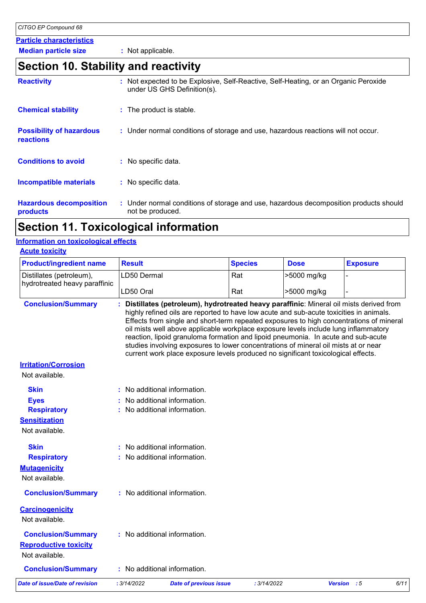#### **Particle characteristics**

**Median particle size :** Not applicable.

### **Section 10. Stability and reactivity**

| under US GHS Definition(s). |                                                                                                                                                                                                                                                                                                                                           |
|-----------------------------|-------------------------------------------------------------------------------------------------------------------------------------------------------------------------------------------------------------------------------------------------------------------------------------------------------------------------------------------|
|                             |                                                                                                                                                                                                                                                                                                                                           |
|                             |                                                                                                                                                                                                                                                                                                                                           |
|                             |                                                                                                                                                                                                                                                                                                                                           |
|                             |                                                                                                                                                                                                                                                                                                                                           |
| not be produced.            |                                                                                                                                                                                                                                                                                                                                           |
|                             | Not expected to be Explosive, Self-Reactive, Self-Heating, or an Organic Peroxide<br>: The product is stable.<br>: Under normal conditions of storage and use, hazardous reactions will not occur.<br>: No specific data.<br>: No specific data.<br>: Under normal conditions of storage and use, hazardous decomposition products should |

### **Section 11. Toxicological information**

### **Information on toxicological effects**

| <b>Acute toxicity</b>                 |                              |                                                                                                                                                                                                                                                                                                                                                                                                                                                 |                |             |                                                                                                                                                                                   |
|---------------------------------------|------------------------------|-------------------------------------------------------------------------------------------------------------------------------------------------------------------------------------------------------------------------------------------------------------------------------------------------------------------------------------------------------------------------------------------------------------------------------------------------|----------------|-------------|-----------------------------------------------------------------------------------------------------------------------------------------------------------------------------------|
| <b>Product/ingredient name</b>        | <b>Result</b>                |                                                                                                                                                                                                                                                                                                                                                                                                                                                 | <b>Species</b> | <b>Dose</b> | <b>Exposure</b>                                                                                                                                                                   |
| Distillates (petroleum),              | LD50 Dermal                  |                                                                                                                                                                                                                                                                                                                                                                                                                                                 | Rat            | >5000 mg/kg |                                                                                                                                                                                   |
| hydrotreated heavy paraffinic         | LD50 Oral                    |                                                                                                                                                                                                                                                                                                                                                                                                                                                 | Rat            | >5000 mg/kg |                                                                                                                                                                                   |
| <b>Conclusion/Summary</b>             |                              | highly refined oils are reported to have low acute and sub-acute toxicities in animals.<br>oil mists well above applicable workplace exposure levels include lung inflammatory<br>reaction, lipoid granuloma formation and lipoid pneumonia. In acute and sub-acute<br>studies involving exposures to lower concentrations of mineral oil mists at or near<br>current work place exposure levels produced no significant toxicological effects. |                |             | Distillates (petroleum), hydrotreated heavy paraffinic: Mineral oil mists derived from<br>Effects from single and short-term repeated exposures to high concentrations of mineral |
| <b>Irritation/Corrosion</b>           |                              |                                                                                                                                                                                                                                                                                                                                                                                                                                                 |                |             |                                                                                                                                                                                   |
| Not available.                        |                              |                                                                                                                                                                                                                                                                                                                                                                                                                                                 |                |             |                                                                                                                                                                                   |
| <b>Skin</b>                           | : No additional information. |                                                                                                                                                                                                                                                                                                                                                                                                                                                 |                |             |                                                                                                                                                                                   |
| <b>Eyes</b>                           |                              | No additional information.                                                                                                                                                                                                                                                                                                                                                                                                                      |                |             |                                                                                                                                                                                   |
| <b>Respiratory</b>                    | No additional information.   |                                                                                                                                                                                                                                                                                                                                                                                                                                                 |                |             |                                                                                                                                                                                   |
| <b>Sensitization</b>                  |                              |                                                                                                                                                                                                                                                                                                                                                                                                                                                 |                |             |                                                                                                                                                                                   |
| Not available.                        |                              |                                                                                                                                                                                                                                                                                                                                                                                                                                                 |                |             |                                                                                                                                                                                   |
| <b>Skin</b>                           | : No additional information. |                                                                                                                                                                                                                                                                                                                                                                                                                                                 |                |             |                                                                                                                                                                                   |
| <b>Respiratory</b>                    | : No additional information. |                                                                                                                                                                                                                                                                                                                                                                                                                                                 |                |             |                                                                                                                                                                                   |
| <b>Mutagenicity</b>                   |                              |                                                                                                                                                                                                                                                                                                                                                                                                                                                 |                |             |                                                                                                                                                                                   |
| Not available.                        |                              |                                                                                                                                                                                                                                                                                                                                                                                                                                                 |                |             |                                                                                                                                                                                   |
| <b>Conclusion/Summary</b>             | : No additional information. |                                                                                                                                                                                                                                                                                                                                                                                                                                                 |                |             |                                                                                                                                                                                   |
| <b>Carcinogenicity</b>                |                              |                                                                                                                                                                                                                                                                                                                                                                                                                                                 |                |             |                                                                                                                                                                                   |
| Not available.                        |                              |                                                                                                                                                                                                                                                                                                                                                                                                                                                 |                |             |                                                                                                                                                                                   |
| <b>Conclusion/Summary</b>             | : No additional information. |                                                                                                                                                                                                                                                                                                                                                                                                                                                 |                |             |                                                                                                                                                                                   |
| <b>Reproductive toxicity</b>          |                              |                                                                                                                                                                                                                                                                                                                                                                                                                                                 |                |             |                                                                                                                                                                                   |
| Not available.                        |                              |                                                                                                                                                                                                                                                                                                                                                                                                                                                 |                |             |                                                                                                                                                                                   |
| <b>Conclusion/Summary</b>             | : No additional information. |                                                                                                                                                                                                                                                                                                                                                                                                                                                 |                |             |                                                                                                                                                                                   |
| <b>Date of issue/Date of revision</b> | : 3/14/2022                  | <b>Date of previous issue</b>                                                                                                                                                                                                                                                                                                                                                                                                                   | : 3/14/2022    |             | 6/11<br><b>Version</b><br>$\therefore$ 5                                                                                                                                          |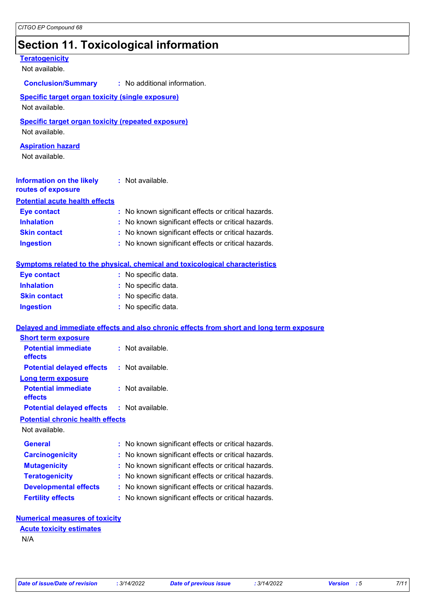### **Section 11. Toxicological information**

#### **Teratogenicity** Not available. **Information on the likely routes of exposure Inhalation :** No known significant effects or critical hazards. **Ingestion :** No known significant effects or critical hazards. **Skin contact :** No known significant effects or critical hazards. **Eye contact :** No known significant effects or critical hazards. **Symptoms related to the physical, chemical and toxicological characteristics Skin contact Ingestion Inhalation :** No specific data. No specific data. **:** No specific data. **: Eye contact :** No specific data. **Delayed and immediate effects and also chronic effects from short and long term exposure Specific target organ toxicity (single exposure) Specific target organ toxicity (repeated exposure)** Not available. Not available. **Aspiration hazard** Not available. **:** Not available. **Potential acute health effects Potential immediate effects :** Not available. **Short term exposure Potential delayed effects :** Not available. **Potential immediate effects :** Not available. **Long term exposure Potential delayed effects :** Not available. **Conclusion/Summary :** No additional information. Not available. **General :** No known significant effects or critical hazards. **Carcinogenicity** : No known significant effects or critical hazards. **Mutagenicity :** No known significant effects or critical hazards. **Teratogenicity :** No known significant effects or critical hazards. **Developmental effects :** No known significant effects or critical hazards. **Fertility effects :** No known significant effects or critical hazards. **Potential chronic health effects Numerical measures of toxicity Acute toxicity estimates**

#### N/A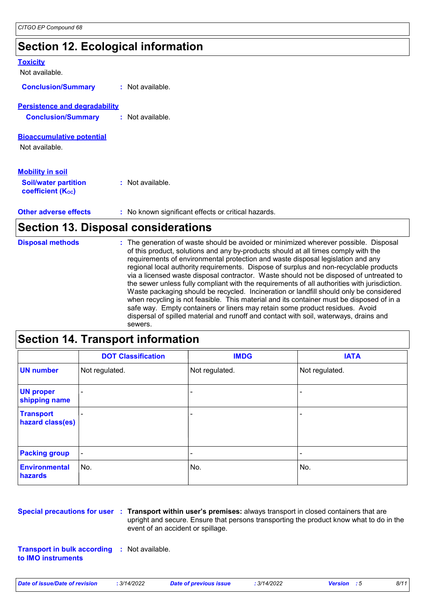### **Section 12. Ecological information**

| <b>Toxicity</b>                      |                                                     |  |
|--------------------------------------|-----------------------------------------------------|--|
| Not available.                       |                                                     |  |
| <b>Conclusion/Summary</b>            | $:$ Not available.                                  |  |
| <b>Persistence and degradability</b> |                                                     |  |
| <b>Conclusion/Summary</b>            | $:$ Not available.                                  |  |
|                                      |                                                     |  |
| <b>Bioaccumulative potential</b>     |                                                     |  |
| Not available.                       |                                                     |  |
|                                      |                                                     |  |
| <b>Mobility in soil</b>              |                                                     |  |
| <b>Soil/water partition</b>          | $:$ Not available.                                  |  |
| <b>coefficient (Koc)</b>             |                                                     |  |
|                                      |                                                     |  |
| <b>Other adverse effects</b>         | : No known significant effects or critical hazards. |  |

### **Section 13. Disposal considerations**

| <b>Disposal methods</b> | : The generation of waste should be avoided or minimized wherever possible. Disposal<br>of this product, solutions and any by-products should at all times comply with the<br>requirements of environmental protection and waste disposal legislation and any<br>regional local authority requirements. Dispose of surplus and non-recyclable products<br>via a licensed waste disposal contractor. Waste should not be disposed of untreated to<br>the sewer unless fully compliant with the requirements of all authorities with jurisdiction.<br>Waste packaging should be recycled. Incineration or landfill should only be considered<br>when recycling is not feasible. This material and its container must be disposed of in a<br>safe way. Empty containers or liners may retain some product residues. Avoid<br>dispersal of spilled material and runoff and contact with soil, waterways, drains and |
|-------------------------|-----------------------------------------------------------------------------------------------------------------------------------------------------------------------------------------------------------------------------------------------------------------------------------------------------------------------------------------------------------------------------------------------------------------------------------------------------------------------------------------------------------------------------------------------------------------------------------------------------------------------------------------------------------------------------------------------------------------------------------------------------------------------------------------------------------------------------------------------------------------------------------------------------------------|
|                         | sewers.                                                                                                                                                                                                                                                                                                                                                                                                                                                                                                                                                                                                                                                                                                                                                                                                                                                                                                         |

### **Section 14. Transport information**

|                                      | <b>DOT Classification</b> | <b>IMDG</b>              | <b>IATA</b>              |
|--------------------------------------|---------------------------|--------------------------|--------------------------|
| <b>UN number</b>                     | Not regulated.            | Not regulated.           | Not regulated.           |
| <b>UN proper</b><br>shipping name    | -                         | -                        | -                        |
| <b>Transport</b><br>hazard class(es) |                           | $\overline{\phantom{0}}$ | -                        |
| <b>Packing group</b>                 | $\blacksquare$            | ۰                        | $\overline{\phantom{0}}$ |
| <b>Environmental</b><br>hazards      | No.                       | No.                      | No.                      |

**Special precautions for user Transport within user's premises:** always transport in closed containers that are **:** upright and secure. Ensure that persons transporting the product know what to do in the event of an accident or spillage.

**Transport in bulk according :** Not available. **to IMO instruments**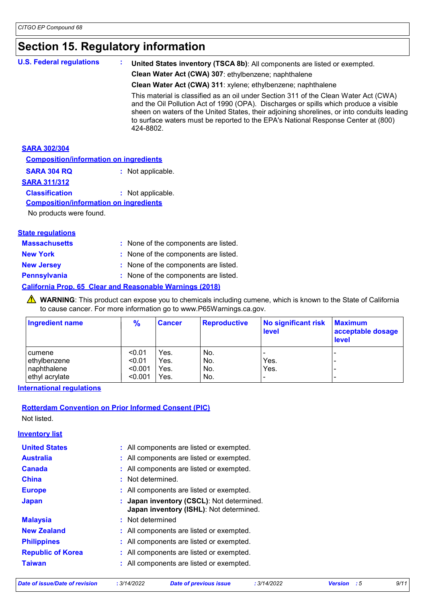### **Section 15. Regulatory information**

| <b>U.S. Federal regulations</b> | United States inventory (TSCA 8b): All components are listed or exempted.                                                                                                                                                                                                                                                                                                     |
|---------------------------------|-------------------------------------------------------------------------------------------------------------------------------------------------------------------------------------------------------------------------------------------------------------------------------------------------------------------------------------------------------------------------------|
|                                 | Clean Water Act (CWA) 307: ethylbenzene; naphthalene                                                                                                                                                                                                                                                                                                                          |
|                                 | Clean Water Act (CWA) 311: xylene; ethylbenzene; naphthalene                                                                                                                                                                                                                                                                                                                  |
|                                 | This material is classified as an oil under Section 311 of the Clean Water Act (CWA)<br>and the Oil Pollution Act of 1990 (OPA). Discharges or spills which produce a visible<br>sheen on waters of the United States, their adjoining shorelines, or into conduits leading<br>to surface waters must be reported to the EPA's National Response Center at (800)<br>424-8802. |
| <b>SARA 302/304</b>             |                                                                                                                                                                                                                                                                                                                                                                               |

| <b>Composition/information on ingredients</b> |                   |  |
|-----------------------------------------------|-------------------|--|
| <b>SARA 304 RQ</b>                            | : Not applicable. |  |
| <b>SARA 311/312</b>                           |                   |  |
| <b>Classification</b>                         | : Not applicable. |  |
| <b>Composition/information on ingredients</b> |                   |  |

No products were found.

| <b>Massachusetts</b> | : None of the components are listed.                            |
|----------------------|-----------------------------------------------------------------|
| <b>New York</b>      | : None of the components are listed.                            |
| <b>New Jersey</b>    | : None of the components are listed.                            |
| <b>Pennsylvania</b>  | : None of the components are listed.                            |
|                      | <b>California Prop. 65 Clear and Reasonable Warnings (2018)</b> |

**A** WARNING: This product can expose you to chemicals including cumene, which is known to the State of California to cause cancer. For more information go to www.P65Warnings.ca.gov.

| <b>Ingredient name</b> | $\frac{9}{6}$ | <b>Cancer</b> | <b>Reproductive</b> | No significant risk<br>level | <b>Maximum</b><br>acceptable dosage<br><b>level</b> |
|------------------------|---------------|---------------|---------------------|------------------------------|-----------------------------------------------------|
| I cumene               | < 0.01        | Yes.          | No.                 |                              |                                                     |
| ethylbenzene           | < 0.01        | Yes.          | l No.               | Yes.                         | -                                                   |
| naphthalene            | < 0.001       | Yes.          | No.                 | Yes.                         |                                                     |
| ethyl acrylate         | < 0.001       | Yes.          | No.                 | $\overline{\phantom{0}}$     | -                                                   |

**International regulations**

#### **Rotterdam Convention on Prior Informed Consent (PIC)**

Not listed.

**Inventory list**

| <b>United States</b>     | : All components are listed or exempted.                                             |
|--------------------------|--------------------------------------------------------------------------------------|
| <b>Australia</b>         | : All components are listed or exempted.                                             |
| <b>Canada</b>            | : All components are listed or exempted.                                             |
| <b>China</b>             | : Not determined.                                                                    |
| <b>Europe</b>            | : All components are listed or exempted.                                             |
| <b>Japan</b>             | : Japan inventory (CSCL): Not determined.<br>Japan inventory (ISHL): Not determined. |
| <b>Malaysia</b>          | : Not determined                                                                     |
| <b>New Zealand</b>       | : All components are listed or exempted.                                             |
| <b>Philippines</b>       | : All components are listed or exempted.                                             |
| <b>Republic of Korea</b> | : All components are listed or exempted.                                             |
| <b>Taiwan</b>            | : All components are listed or exempted.                                             |

*Date of issue/Date of revision* **:** *3/14/2022 Date of previous issue : 3/14/2022 Version : 5 9/11*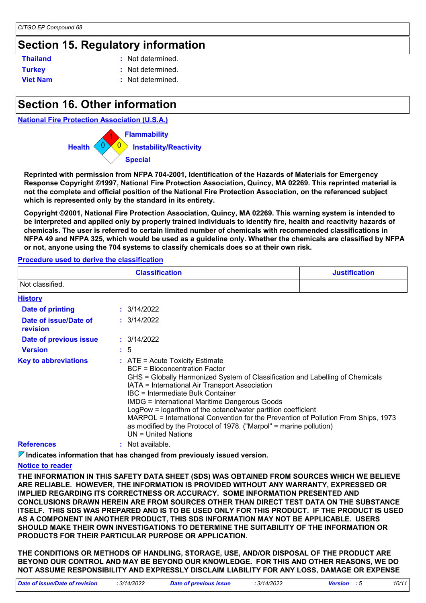### **Section 15. Regulatory information**

| <b>Thailand</b> | : Not determined. |
|-----------------|-------------------|
| <b>Turkey</b>   | : Not determined. |
| <b>Viet Nam</b> | : Not determined. |

### **Section 16. Other information**

#### **National Fire Protection Association (U.S.A.)**



**Reprinted with permission from NFPA 704-2001, Identification of the Hazards of Materials for Emergency Response Copyright ©1997, National Fire Protection Association, Quincy, MA 02269. This reprinted material is not the complete and official position of the National Fire Protection Association, on the referenced subject which is represented only by the standard in its entirety.**

**Copyright ©2001, National Fire Protection Association, Quincy, MA 02269. This warning system is intended to be interpreted and applied only by properly trained individuals to identify fire, health and reactivity hazards of chemicals. The user is referred to certain limited number of chemicals with recommended classifications in NFPA 49 and NFPA 325, which would be used as a guideline only. Whether the chemicals are classified by NFPA or not, anyone using the 704 systems to classify chemicals does so at their own risk.**

#### **Procedure used to derive the classification**

|                                   | <b>Justification</b>                                                                                                                                                                                                                                                                                                                                                                                                                                                                                                                                     |  |  |  |  |  |
|-----------------------------------|----------------------------------------------------------------------------------------------------------------------------------------------------------------------------------------------------------------------------------------------------------------------------------------------------------------------------------------------------------------------------------------------------------------------------------------------------------------------------------------------------------------------------------------------------------|--|--|--|--|--|
| Not classified.                   |                                                                                                                                                                                                                                                                                                                                                                                                                                                                                                                                                          |  |  |  |  |  |
| <b>History</b>                    |                                                                                                                                                                                                                                                                                                                                                                                                                                                                                                                                                          |  |  |  |  |  |
| <b>Date of printing</b>           | : 3/14/2022                                                                                                                                                                                                                                                                                                                                                                                                                                                                                                                                              |  |  |  |  |  |
| Date of issue/Date of<br>revision | : 3/14/2022                                                                                                                                                                                                                                                                                                                                                                                                                                                                                                                                              |  |  |  |  |  |
| Date of previous issue            | : 3/14/2022                                                                                                                                                                                                                                                                                                                                                                                                                                                                                                                                              |  |  |  |  |  |
| <b>Version</b>                    | $\frac{1}{2}$ 5                                                                                                                                                                                                                                                                                                                                                                                                                                                                                                                                          |  |  |  |  |  |
| <b>Key to abbreviations</b>       | $:$ ATE = Acute Toxicity Estimate<br>BCF = Bioconcentration Factor<br>GHS = Globally Harmonized System of Classification and Labelling of Chemicals<br>IATA = International Air Transport Association<br>IBC = Intermediate Bulk Container<br><b>IMDG = International Maritime Dangerous Goods</b><br>LogPow = logarithm of the octanol/water partition coefficient<br>MARPOL = International Convention for the Prevention of Pollution From Ships, 1973<br>as modified by the Protocol of 1978. ("Marpol" = marine pollution)<br>$UN = United Nations$ |  |  |  |  |  |
| <b>References</b>                 | : Not available.                                                                                                                                                                                                                                                                                                                                                                                                                                                                                                                                         |  |  |  |  |  |

**Indicates information that has changed from previously issued version.**

#### **Notice to reader**

**THE INFORMATION IN THIS SAFETY DATA SHEET (SDS) WAS OBTAINED FROM SOURCES WHICH WE BELIEVE ARE RELIABLE. HOWEVER, THE INFORMATION IS PROVIDED WITHOUT ANY WARRANTY, EXPRESSED OR IMPLIED REGARDING ITS CORRECTNESS OR ACCURACY. SOME INFORMATION PRESENTED AND CONCLUSIONS DRAWN HEREIN ARE FROM SOURCES OTHER THAN DIRECT TEST DATA ON THE SUBSTANCE ITSELF. THIS SDS WAS PREPARED AND IS TO BE USED ONLY FOR THIS PRODUCT. IF THE PRODUCT IS USED AS A COMPONENT IN ANOTHER PRODUCT, THIS SDS INFORMATION MAY NOT BE APPLICABLE. USERS SHOULD MAKE THEIR OWN INVESTIGATIONS TO DETERMINE THE SUITABILITY OF THE INFORMATION OR PRODUCTS FOR THEIR PARTICULAR PURPOSE OR APPLICATION.**

**THE CONDITIONS OR METHODS OF HANDLING, STORAGE, USE, AND/OR DISPOSAL OF THE PRODUCT ARE BEYOND OUR CONTROL AND MAY BE BEYOND OUR KNOWLEDGE. FOR THIS AND OTHER REASONS, WE DO NOT ASSUME RESPONSIBILITY AND EXPRESSLY DISCLAIM LIABILITY FOR ANY LOSS, DAMAGE OR EXPENSE**